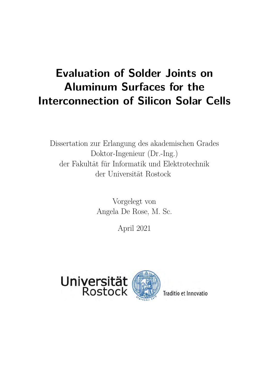## **Evaluation of Solder Joints on Aluminum Surfaces for the Interconnection of Silicon Solar Cells**

Dissertation zur Erlangung des akademischen Grades Doktor-Ingenieur (Dr.-Ing.) der Fakultät für Informatik und Elektrotechnik der Universität Rostock

> Vorgelegt von Angela De Rose, M. Sc.

> > April 2021

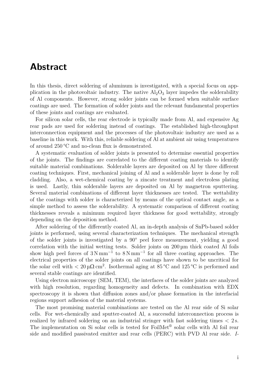## **Abstract**

In this thesis, direct soldering of aluminum is investigated, with a special focus on appplication in the photovoltaic industry. The native  $Al_2O_3$  layer impedes the solderability of Al components. However, strong solder joints can be formed when suitable surface coatings are used. The formation of solder joints and the relevant fundamental properties of these joints and coatings are evaluated.

For silicon solar cells, the rear electrode is typically made from Al, and expensive Ag rear pads are used for soldering instead of coatings. The established high-throughput interconnection equipment and the processes of the photovoltaic industry are used as a baseline in this work. With this, reliable soldering of Al at ambient air using temperatures of around 250 °C and no-clean flux is demonstrated.

A systematic evaluation of solder joints is presented to determine essential properties of the joints. The findings are correlated to the different coating materials to identify suitable material combinations. Solderable layers are deposited on Al by three different coating techniques. First, mechanical joining of Al and a solderable layer is done by roll cladding. Also, a wet-chemical coating by a zincate treatment and electroless plating is used. Lastly, thin solderable layers are deposited on Al by magnetron sputtering. Several material combinations of different layer thicknesses are tested. The wettability of the coatings with solder is characterized by means of the optical contact angle, as a simple method to assess the solderability. A systematic comparison of different coating thicknesses reveals a minimum required layer thickness for good wettability, strongly depending on the deposition method.

After soldering of the differently coated Al, an in-depth analysis of SnPb-based solder joints is performed, using several characterization techniques. The mechanical strength of the solder joints is investigated by a 90° peel force measurement, yielding a good correlation with the initial wetting tests. Solder joints on 200 µm thick coated Al foils show high peel forces of  $3 \text{ N mm}^{-1}$  to  $8 \text{ N mm}^{-1}$  for all three coating approaches. The electrical properties of the solder joints on all coatings have shown to be uncritical for the solar cell with  $< 20 \mu \Omega$  cm<sup>2</sup>. Isothermal aging at 85 °C and 125 °C is performed and several stable coatings are identified.

Using electron microscopy (SEM, TEM), the interfaces of the solder joints are analyzed with high resolution, regarding homogeneity and defects. In combination with EDX spectroscopy it is shown that diffusion zones and/or phase formation in the interfacial regions support adhesion of the material systems.

The most promising material combinations are tested on the Al rear side of Si solar cells. For wet-chemically and sputter-coated Al, a successful interconnection process is realized by infrared soldering on an industrial stringer with fast soldering times *<* 2 s. The implementation on Si solar cells is tested for FoilMet® solar cells with Al foil rear side and modified passivated emitter and rear cells (PERC) with PVD Al rear side. *I-*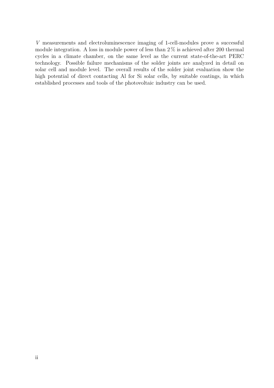*V* measurements and electroluminescence imaging of 1-cell-modules prove a successful module integration. A loss in module power of less than  $2\%$  is achieved after 200 thermal cycles in a climate chamber, on the same level as the current state-of-the-art PERC technology. Possible failure mechanisms of the solder joints are analyzed in detail on solar cell and module level. The overall results of the solder joint evaluation show the high potential of direct contacting Al for Si solar cells, by suitable coatings, in which established processes and tools of the photovoltaic industry can be used.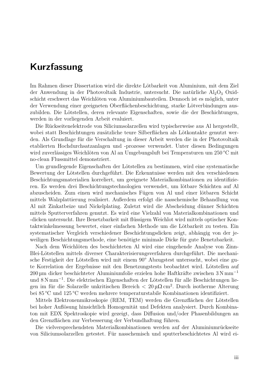## **Kurzfassung**

Im Rahmen dieser Dissertation wird die direkte Lötbarkeit von Aluminium, mit dem Ziel der Anwendung in der Photovoltaik Industrie, untersucht. Die natürliche  $Al_2O_3$  Oxidschicht erschwert das Weichlöten von Aluminiumbauteilen. Dennoch ist es möglich, unter der Verwendung einer geeigneten Oberflächenbeschichtung, starke Lötverbindungen auszubilden. Die Lötstellen, deren relevante Eigenschaften, sowie die der Beschichtungen, werden in der vorliegenden Arbeit evaluiert.

Die Rückseitenelektrode von Siliciumsolarzellen wird typischerweise aus Al hergestellt, wobei statt Beschichtungen zusätzliche teure Silberflächen als Lötkontakte genutzt werden. Als Grundlage für die Verschaltung in dieser Arbeit werden die in der Photovoltaik etablierten Hochdurchsatzanlagen und -prozesse verwendet. Unter diesen Bedingungen wird zuverlässiges Weichlöten von Al an Umgebungsluft bei Temperaturen um 250 °C mit no-clean Flussmittel demonstriert.

Um grundlegende Eigenschaften der Lötstellen zu bestimmen, wird eine systematische Bewertung der Lötstellen durchgeführt. Die Erkenntnisse werden mit den verschiedenen Beschichtungsmaterialien korreliert, um geeignete Materialkombinationen zu identifizieren. Es werden drei Beschichtungstechnologien verwendet, um lötbare Schichten auf Al abzuscheiden. Zum einen wird mechanisches Fügen von Al und einer lötbaren Schicht mittels Walzplattierung realisiert. Außerdem erfolgt die nasschemische Behandlung von Al mit Zinkatbeize und Nickelplating. Zuletzt wird die Abscheidung dünner Schichten mittels Sputterverfahren genutzt. Es wird eine Vielzahl von Materialkombinationen und -dicken untersucht. Ihre Benetzbarkeit mit flüssigem Weichlot wird mittels optischer Kontaktwinkelmessung bewertet, einer einfachen Methode um die Lötbarkeit zu testen. Ein systematischer Vergleich verschiedener Beschichtungsdicken zeigt, abhängig von der jeweiligen Beschichtungsmethode, eine benötigte minimale Dicke für gute Benetzbarkeit.

Nach dem Weichlöten des beschichteten Al wird eine eingehende Analyse von Zinn-Blei-Lötstellen mittels diverser Charakterisierungsverfahren durchgeführt. Die mechanische Festigkeit der Lötstellen wird mit einem 90° Abzugstest untersucht, wobei eine gute Korrelation der Ergebnisse mit den Benetzungstests beobachtet wird. Lötstellen auf 200 µm dicker beschichteter Aluminiumfolie erzielen hohe Haftkräfte zwischen 3 N mm<sup>−</sup><sup>1</sup> und 8 N mm<sup>−</sup><sup>1</sup> . Die elektrischen Eigenschaften der Lötstellen für alle Beschichtungen liegen im für die Solarzelle unkritischen Bereich *<* 20 µΩ cm<sup>2</sup> . Durch isotherme Alterung bei 85 °C und 125 °C werden mehrere temperaturstabile Kombinationen identifiziert.

Mittels Elektronenmikroskopie (REM, TEM) werden die Grenzflächen der Lötstellen bei hoher Auflösung hinsichtlich Homogenität und Defekten analysiert. Durch Kombinaton mit EDX Spektroskopie wird gezeigt, dass Diffusion und/oder Phasenbildungen an den Grenzflächen zur Verbesserung der Verbundhaftung führen.

Die vielversprechendsten Materialkombinationen werden auf der Aluminiumrückseite von Siliciumsolarzellen getestet. Für nasschemisch und sputterbeschichtetes Al wird ei-